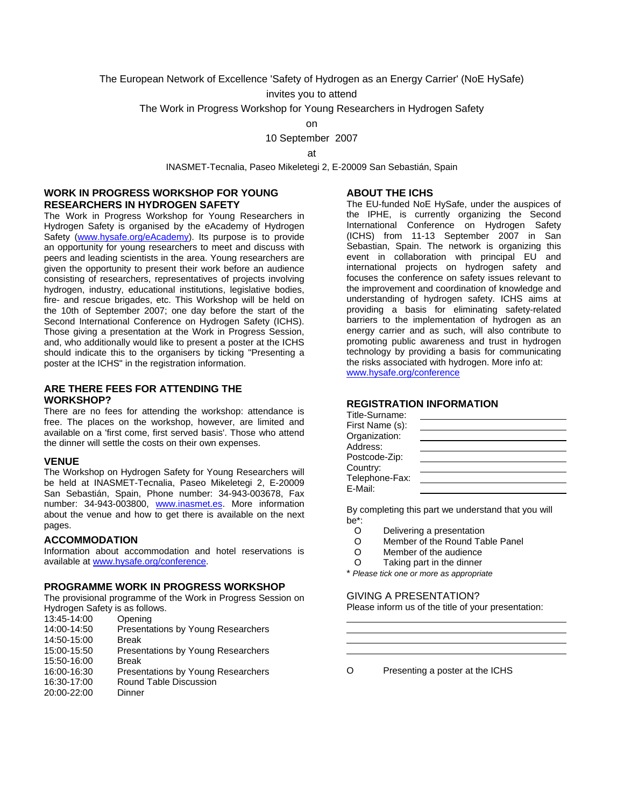The European Network of Excellence 'Safety of Hydrogen as an Energy Carrier' (NoE HySafe)

invites you to attend

The Work in Progress Workshop for Young Researchers in Hydrogen Safety

on

10 September 2007

at

INASMET-Tecnalia, Paseo Mikeletegi 2, E-20009 San Sebastián, Spain

## **WORK IN PROGRESS WORKSHOP FOR YOUNG RESEARCHERS IN HYDROGEN SAFETY**

The Work in Progress Workshop for Young Researchers in Hydrogen Safety is organised by the eAcademy of Hydrogen Safety [\(www.hysafe.org/eAcademy](http://www.hysafe.org/eAcademy)). Its purpose is to provide an opportunity for young researchers to meet and discuss with peers and leading scientists in the area. Young researchers are given the opportunity to present their work before an audience consisting of researchers, representatives of projects involving hydrogen, industry, educational institutions, legislative bodies, fire- and rescue brigades, etc. This Workshop will be held on the 10th of September 2007; one day before the start of the Second International Conference on Hydrogen Safety (ICHS). Those giving a presentation at the Work in Progress Session, and, who additionally would like to present a poster at the ICHS should indicate this to the organisers by ticking "Presenting a poster at the ICHS" in the registration information.

#### **ARE THERE FEES FOR ATTENDING THE WORKSHOP?**

There are no fees for attending the workshop: attendance is free. The places on the workshop, however, are limited and available on a 'first come, first served basis'. Those who attend the dinner will settle the costs on their own expenses.

## **VENUE**

The Workshop on Hydrogen Safety for Young Researchers will be held at INASMET-Tecnalia, Paseo Mikeletegi 2, E-20009 San Sebastián, Spain, Phone number: 34-943-003678, Fax number: 34-943-003800, [www.inasmet.es](http://www.inasmet.es/). More information about the venue and how to get there is available on the next pages.

#### **ACCOMMODATION**

Information about accommodation and hotel reservations is available at [www.hysafe.org/conference](http://www.hysafe.org/conference).

## **PROGRAMME WORK IN PROGRESS WORKSHOP**

The provisional programme of the Work in Progress Session on Hydrogen Safety is as follows.

| 13:45-14:00 | Opening                            |
|-------------|------------------------------------|
| 14:00-14:50 | Presentations by Young Researchers |
| 14:50-15:00 | <b>Break</b>                       |
| 15:00-15:50 | Presentations by Young Researchers |
| 15:50-16:00 | <b>Break</b>                       |
| 16:00-16:30 | Presentations by Young Researchers |
| 16:30-17:00 | Round Table Discussion             |
| 20:00-22:00 | Dinner                             |
|             |                                    |

#### **ABOUT THE ICHS**

The EU-funded NoE HySafe, under the auspices of the IPHE, is currently organizing the Second International Conference on Hydrogen Safety (ICHS) from 11-13 September 2007 in San Sebastian, Spain. The network is organizing this event in collaboration with principal EU and international projects on hydrogen safety and focuses the conference on safety issues relevant to the improvement and coordination of knowledge and understanding of hydrogen safety. ICHS aims at providing a basis for eliminating safety-related barriers to the implementation of hydrogen as an energy carrier and as such, will also contribute to promoting public awareness and trust in hydrogen technology by providing a basis for communicating the risks associated with hydrogen. More info at: [www.hysafe.org/conference](http://www.hysafe.org/conference)

# **REGISTRATION INFORMATION**

| Title-Surname:  |  |
|-----------------|--|
| First Name (s): |  |
| Organization:   |  |
| Address:        |  |
| Postcode-Zip:   |  |
| Country:        |  |
| Telephone-Fax:  |  |
| E-Mail:         |  |

By completing this part we understand that you will  $he^*$ 

- O Delivering a presentation
- O Member of the Round Table Panel
- O Member of the audience
- O Taking part in the dinner
- \* *Please tick one or more as appropriate*

## GIVING A PRESENTATION?

 $\overline{a}$ 

Please inform us of the title of your presentation:

O Presenting a poster at the ICHS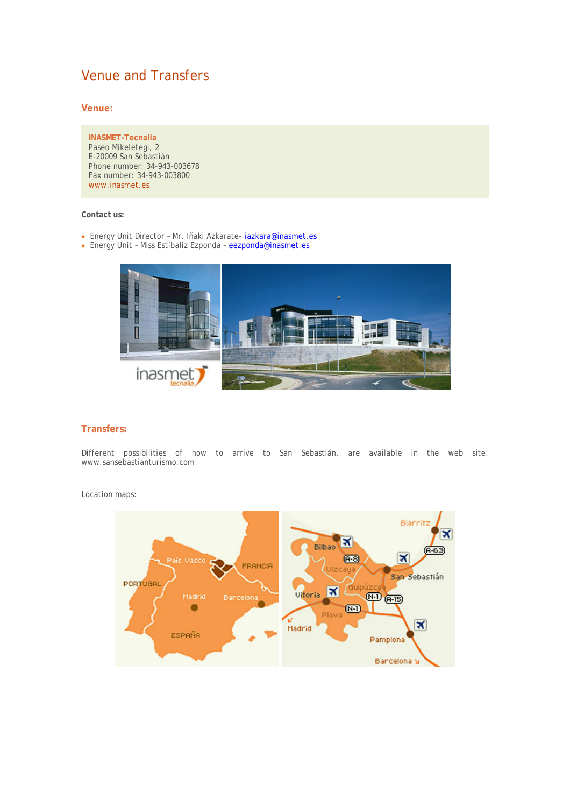# Venue and Transfers

**Venue:**

**INASMET-Tecnalia** Paseo Mikeletegi, 2 E-20009 San Sebastián Phone number: 34-943-003678 Fax number: 34-943-003800 www.inasmet.es

## **Contact us:**

- Energy Unit Director Mr. Iñaki Azkarate- jazkara@inasmet.es
- Energy Unit Miss Estíbaliz Ezponda eezponda@inasmet.es



# **Transfers:**

Different possibilities of how to arrive to San Sebastián, are available in the web site: www.sansebastianturismo.com

Location maps:

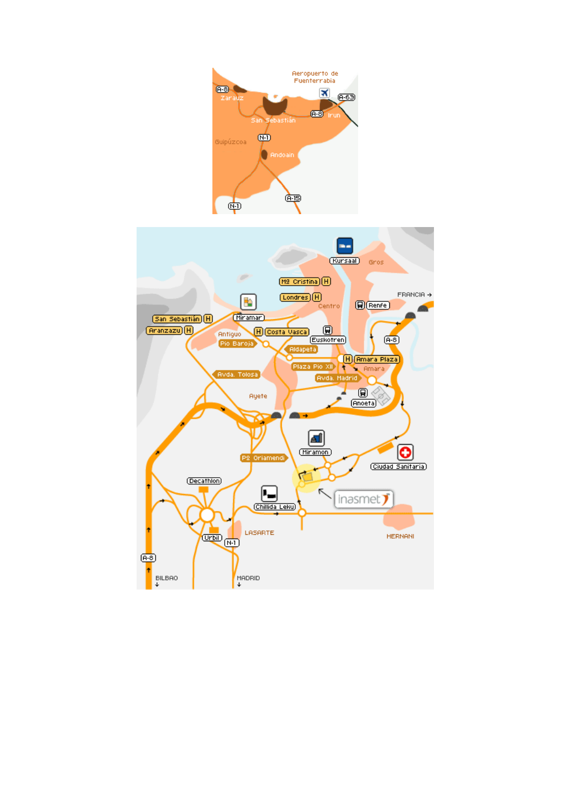